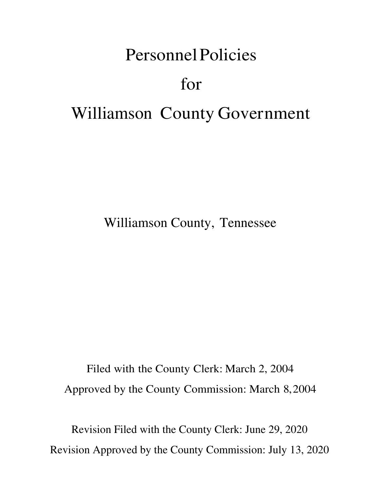# Personnel Policies for Williamson County Government

Williamson County, Tennessee

Filed with the County Clerk: March 2, 2004 Approved by the County Commission: March 8, 2004

Revision Filed with the County Clerk: June 29, 2020 Revision Approved by the County Commission: July 13, 2020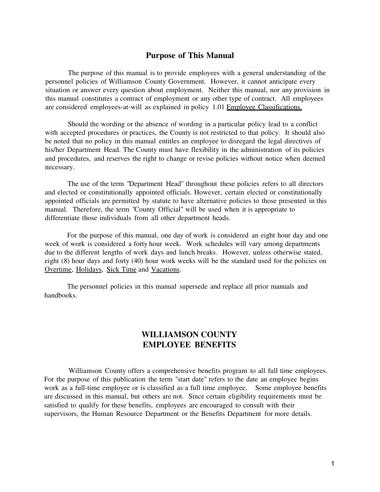#### **Purpose of This Manual**

The purpose of this manual is to provide employees with a general understanding of the personnel policies of Williamson County Government. However, it cannot anticipate every situation or answer every question about employment. Neither this manual, nor any provision in this manual constitutes a contract of employment or any other type of contract. All employees are considered employees-at-will as explained in policy 1.01 Employee Classifications.

Should the wording or the absence of wording in a particular policy lead to a conflict with accepted procedures or practices, the County is not restricted to that policy. It should also be noted that no policy in this manual entitles an employee to disregard the legal directives of his/her Department Head. The County must have flexibility in the administration of its policies and procedures, and reserves the right to change or revise policies without notice when deemed necessary.

The use of the term "Department Head" throughout these policies refers to all directors and elected or constitutionally appointed officials. However, certain elected or constitutionally appointed officials are permitted by statute to have alternative policies to those presented in this manual. Therefore, the term "County Official" will be used when it is appropriate to differentiate those individuals from all other department heads.

For the purpose of this manual, one day of work is considered an eight hour day and one week of work is considered a forty hour week. Work schedules will vary among departments due to the different lengths of work days and lunch breaks. However, unless otherwise stated, eight (8) hour days and forty (40) hour work weeks will be the standard used for the policies on Overtime, Holidays, Sick Time and Vacations.

The personnel policies in this manual supersede and replace all prior manuals and handbooks.

#### **WILLIAMSON COUNTY EMPLOYEE BENEFITS**

Williamson County offers a comprehensive benefits program to all full time employees. For the purpose of this publication the term "start date" refers to the date an employee begins work as a full-time employee or is classified as a full time employee. Some employee benefits are discussed in this manual, but others are not. Since certain eligibility requirements must be satisfied to qualify for these benefits, employees are encouraged to consult with their supervisors, the Human Resource Department or the Benefits Department for more details.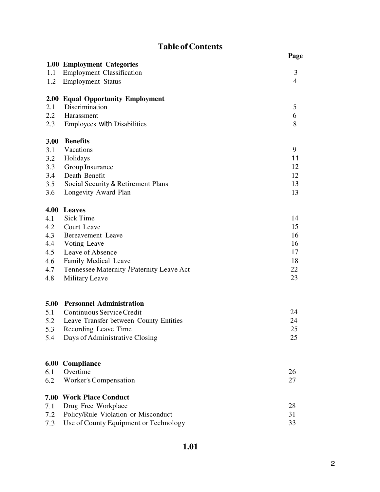# **Table of Contents**

|         |                                           | Page           |
|---------|-------------------------------------------|----------------|
|         | 1.00 Employment Categories                |                |
| 1.1     | <b>Employment Classification</b>          | 3              |
| 1.2     | <b>Employment Status</b>                  | $\overline{4}$ |
|         | 2.00 Equal Opportunity Employment         |                |
| 2.1     | Discrimination                            | 5              |
| $2.2\,$ | Harassment                                | 6              |
| 2.3     | Employees with Disabilities               | 8              |
| 3.00    | <b>Benefits</b>                           |                |
| 3.1     | Vacations                                 | 9              |
| 3.2     | Holidays                                  | 11             |
| 3.3     | Group Insurance                           | 12             |
| 3.4     | Death Benefit                             | 12             |
| 3.5     | Social Security & Retirement Plans        | 13             |
| 3.6     | Longevity Award Plan                      | 13             |
|         | 4.00 Leaves                               |                |
| 4.1     | <b>Sick Time</b>                          | 14             |
| 4.2     | Court Leave                               | 15             |
| 4.3     | Bereavement Leave                         | 16             |
| 4.4     | Voting Leave                              | 16             |
| 4.5     | Leave of Absence                          | 17             |
| 4.6     | Family Medical Leave                      | 18             |
| 4.7     | Tennessee Maternity / Paternity Leave Act | 22             |
| 4.8     | <b>Military Leave</b>                     | 23             |
|         | 5.00 Personnel Administration             |                |
| 5.1     | Continuous Service Credit                 | 24             |
| 5.2     | Leave Transfer between County Entities    | 24             |
| 5.3     | Recording Leave Time                      | 25             |
| 5.4     | Days of Administrative Closing            | 25             |
|         |                                           |                |
|         | 6.00 Compliance                           |                |
| 6.1     | Overtime                                  | 26             |
| 6.2     | Worker's Compensation                     | 27             |
|         | 7.00 Work Place Conduct                   |                |
| 7.1     | Drug Free Workplace                       | 28             |
| 7.2     | Policy/Rule Violation or Misconduct       | 31             |
| 7.3     | Use of County Equipment or Technology     | 33             |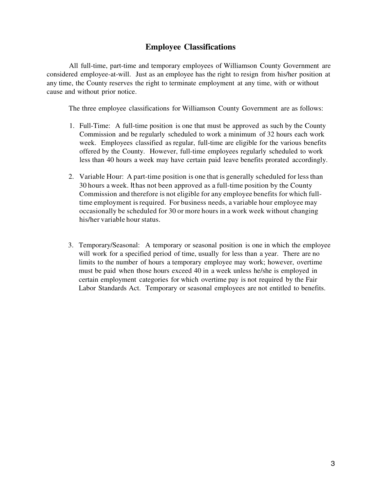#### **Employee Classifications**

All full-time, part-time and temporary employees of Williamson County Government are considered employee-at-will. Just as an employee has the right to resign from his/her position at any time, the County reserves the right to terminate employment at any time, with or without cause and without prior notice.

The three employee classifications for Williamson County Government are as follows:

- 1. Full-Time: A full-time position is one that must be approved as such by the County Commission and be regularly scheduled to work a minimum of 32 hours each work week. Employees classified as regular, full-time are eligible for the various benefits offered by the County. However, full-time employees regularly scheduled to work less than 40 hours a week may have certain paid leave benefits prorated accordingly.
- 2. Variable Hour: A part-time position is one that is generally scheduled for less than 30 hours a week. It has not been approved as a full-time position by the County Commission and therefore is not eligible for any employee benefits for which fulltime employment is required. For business needs, a variable hour employee may occasionally be scheduled for 30 or more hours in a work week without changing his/her variable hour status.
- 3. Temporary/Seasonal: A temporary or seasonal position is one in which the employee will work for a specified period of time, usually for less than a year. There are no limits to the number of hours a temporary employee may work; however, overtime must be paid when those hours exceed 40 in a week unless he/she is employed in certain employment categories for which overtime pay is not required by the Fair Labor Standards Act. Temporary or seasonal employees are not entitled to benefits.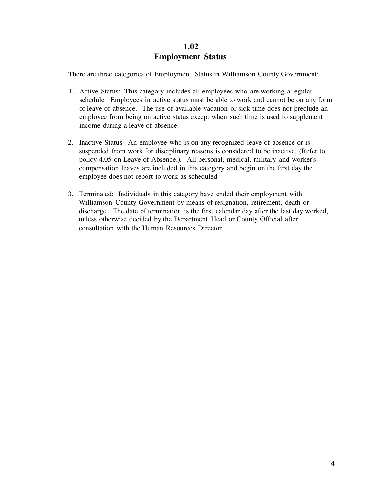#### **1.02 Employment Status**

There are three categories of Employment Status in Williamson County Government:

- 1. Active Status: This category includes all employees who are working a regular schedule. Employees in active status must be able to work and cannot be on any form of leave of absence. The use of available vacation or sick time does not preclude an employee from being on active status except when such time is used to supplement income during a leave of absence.
- 2. Inactive Status: An employee who is on any recognized leave of absence or is suspended from work for disciplinary reasons is considered to be inactive. (Refer to policy 4.05 on Leave of Absence.). All personal, medical, military and worker's compensation leaves are included in this category and begin on the first day the employee does not report to work as scheduled.
- 3. Terminated: Individuals in this category have ended their employment with Williamson County Government by means of resignation, retirement, death or discharge. The date of termination is the first calendar day after the last day worked, unless otherwise decided by the Department Head or County Official after consultation with the Human Resources Director.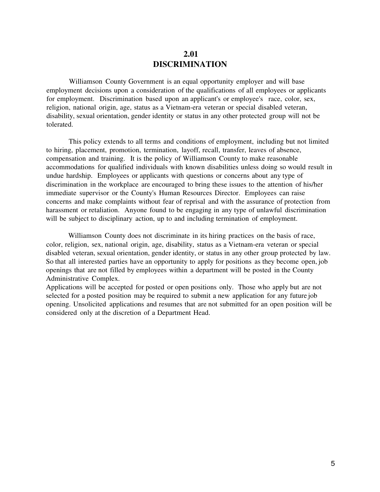#### **2.01 DISCRIMINATION**

Williamson County Government is an equal opportunity employer and will base employment decisions upon a consideration of the qualifications of all employees or applicants for employment. Discrimination based upon an applicant's or employee's race, color, sex, religion, national origin, age, status as a Vietnam-era veteran or special disabled veteran, disability, sexual orientation, gender identity or status in any other protected group will not be tolerated.

This policy extends to all terms and conditions of employment, including but not limited to hiring, placement, promotion, termination, layoff, recall, transfer, leaves of absence, compensation and training. It is the policy of Williamson County to make reasonable accommodations for qualified individuals with known disabilities unless doing so would result in undue hardship. Employees or applicants with questions or concerns about any type of discrimination in the workplace are encouraged to bring these issues to the attention of his/her immediate supervisor or the County's Human Resources Director. Employees can raise concerns and make complaints without fear of reprisal and with the assurance of protection from harassment or retaliation. Anyone found to be engaging in any type of unlawful discrimination will be subject to disciplinary action, up to and including termination of employment.

Williamson County does not discriminate in its hiring practices on the basis of race, color, religion, sex, national origin, age, disability, status as a Vietnam-era veteran or special disabled veteran, sexual orientation, gender identity, or status in any other group protected by law. So that all interested parties have an opportunity to apply for positions as they become open, job openings that are not filled by employees within a department will be posted in the County Administrative Complex.

Applications will be accepted for posted or open positions only. Those who apply but are not selected for a posted position may be required to submit a new application for any future job opening. Unsolicited applications and resumes that are not submitted for an open position will be considered only at the discretion of a Department Head.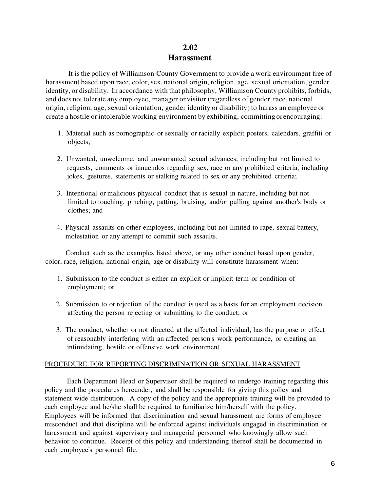#### **2.02 Harassment**

It is the policy of Williamson County Government to provide a work environment free of harassment based upon race, color, sex, national origin, religion, age, sexual orientation, gender identity, or disability. In accordance with that philosophy, Williamson County prohibits, forbids, and does not tolerate any employee, manager or visitor (regardless of gender, race, national origin, religion, age, sexual orientation, gender identity or disability) to harass an employee or create a hostile or intolerable working environment by exhibiting, committing or encouraging:

- 1. Material such as pornographic or sexually or racially explicit posters, calendars, graffiti or objects;
- 2. Unwanted, unwelcome, and unwarranted sexual advances, including but not limited to requests, comments or innuendos regarding sex, race or any prohibited criteria, including jokes, gestures, statements or stalking related to sex or any prohibited criteria;
- 3. Intentional or malicious physical conduct that is sexual in nature, including but not limited to touching, pinching, patting, bruising, and/or pulling against another's body or clothes; and
- 4. Physical assaults on other employees, including but not limited to rape, sexual battery, molestation or any attempt to commit such assaults.

Conduct such as the examples listed above, or any other conduct based upon gender, color, race, religion, national origin, age or disability will constitute harassment when:

- 1. Submission to the conduct is either an explicit or implicit term or condition of employment; or
- 2. Submission to or rejection of the conduct is used as a basis for an employment decision affecting the person rejecting or submitting to the conduct; or
- 3. The conduct, whether or not directed at the affected individual, has the purpose or effect of reasonably interfering with an affected person's work performance, or creating an intimidating, hostile or offensive work environment.

#### PROCEDURE FOR REPORTING DISCRIMINATION OR SEXUAL HARASSMENT

Each Department Head or Supervisor shall be required to undergo training regarding this policy and the procedures hereunder, and shall be responsible for giving this policy and statement wide distribution. A copy of the policy and the appropriate training will be provided to each employee and he/she shall be required to familiarize him/herself with the policy. Employees will be informed that discrimination and sexual harassment are forms of employee misconduct and that discipline will be enforced against individuals engaged in discrimination or harassment and against supervisory and managerial personnel who knowingly allow such behavior to continue. Receipt of this policy and understanding thereof shall be documented in each employee's personnel file.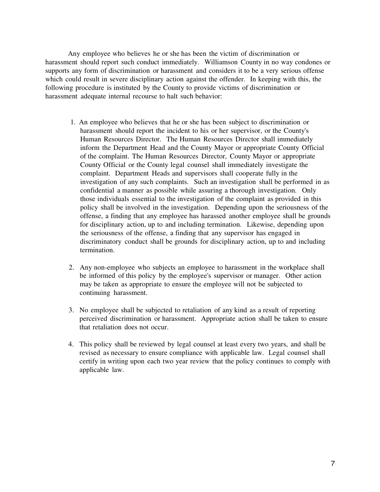Any employee who believes he or she has been the victim of discrimination or harassment should report such conduct immediately. Williamson County in no way condones or supports any form of discrimination or harassment and considers it to be a very serious offense which could result in severe disciplinary action against the offender. In keeping with this, the following procedure is instituted by the County to provide victims of discrimination or harassment adequate internal recourse to halt such behavior:

- 1. An employee who believes that he or she has been subject to discrimination or harassment should report the incident to his or her supervisor, or the County's Human Resources Director. The Human Resources Director shall immediately inform the Department Head and the County Mayor or appropriate County Official of the complaint. The Human Resources Director, County Mayor or appropriate County Official or the County legal counsel shall immediately investigate the complaint. Department Heads and supervisors shall cooperate fully in the investigation of any such complaints. Such an investigation shall be performed in as confidential a manner as possible while assuring a thorough investigation. Only those individuals essential to the investigation of the complaint as provided in this policy shall be involved in the investigation. Depending upon the seriousness of the offense, a finding that any employee has harassed another employee shall be grounds for disciplinary action, up to and including termination. Likewise, depending upon the seriousness of the offense, a finding that any supervisor has engaged in discriminatory conduct shall be grounds for disciplinary action, up to and including termination.
- 2. Any non-employee who subjects an employee to harassment in the workplace shall be informed of this policy by the employee's supervisor or manager. Other action may be taken as appropriate to ensure the employee will not be subjected to continuing harassment.
- 3. No employee shall be subjected to retaliation of any kind as a result of reporting perceived discrimination or harassment. Appropriate action shall be taken to ensure that retaliation does not occur.
- 4. This policy shall be reviewed by legal counsel at least every two years, and shall be revised as necessary to ensure compliance with applicable law. Legal counsel shall certify in writing upon each two year review that the policy continues to comply with applicable law.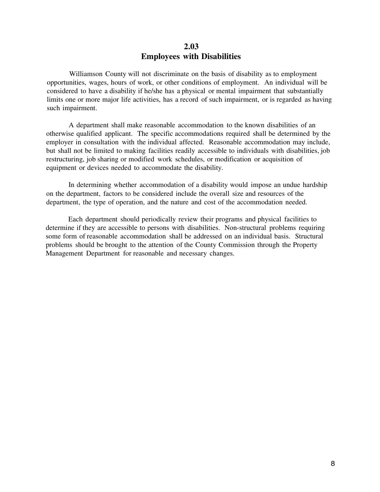#### **2.03 Employees with Disabilities**

Williamson County will not discriminate on the basis of disability as to employment opportunities, wages, hours of work, or other conditions of employment. An individual will be considered to have a disability if he/she has a physical or mental impairment that substantially limits one or more major life activities, has a record of such impairment, or is regarded as having such impairment.

A department shall make reasonable accommodation to the known disabilities of an otherwise qualified applicant. The specific accommodations required shall be determined by the employer in consultation with the individual affected. Reasonable accommodation may include, but shall not be limited to making facilities readily accessible to individuals with disabilities, job restructuring, job sharing or modified work schedules, or modification or acquisition of equipment or devices needed to accommodate the disability.

In determining whether accommodation of a disability would impose an undue hardship on the department, factors to be considered include the overall size and resources of the department, the type of operation, and the nature and cost of the accommodation needed.

Each department should periodically review their programs and physical facilities to determine if they are accessible to persons with disabilities. Non-structural problems requiring some form of reasonable accommodation shall be addressed on an individual basis. Structural problems should be brought to the attention of the County Commission through the Property Management Department for reasonable and necessary changes.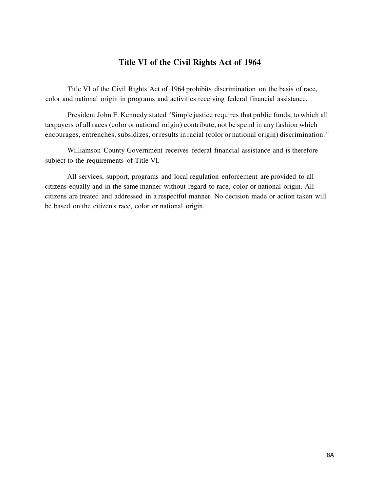### **Title VI of the Civil Rights Act of 1964**

Title VI of the Civil Rights Act of 1964 prohibits discrimination on the basis of race, color and national origin in programs and activities receiving federal financial assistance.

President John F. Kennedy stated "Simple justice requires that public funds, to which all taxpayers of all races (color or national origin) contribute, not be spend in any fashion which encourages, entrenches, subsidizes, or results in racial (color or national origin) discrimination. "

Williamson County Government receives federal financial assistance and is therefore subject to the requirements of Title VI.

All services, support, programs and local regulation enforcement are provided to all citizens equally and in the same manner without regard to race, color or national origin. All citizens are treated and addressed in a respectful manner. No decision made or action taken will be based on the citizen's race, color or national origin.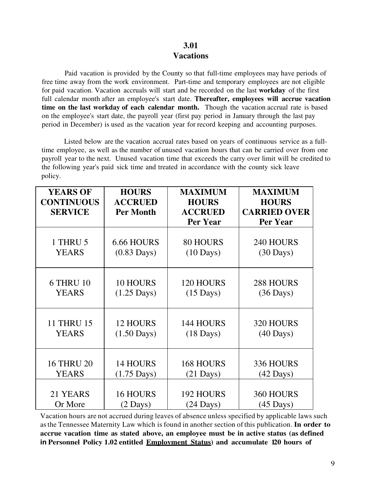### **3.01 Vacations**

Paid vacation is provided by the County so that full-time employees may have periods of free time away from the work environment. Part-time and temporary employees are not eligible for paid vacation. Vacation accruals will start and be recorded on the last **workday** of the first full calendar month after an employee's start date. **Thereafter, employees will accrue vacation time on the last workday of each calendar month.** Though the vacation accrual rate is based on the employee's start date, the payroll year (first pay period in January through the last pay period in December) is used as the vacation year for record keeping and accounting purposes.

Listed below are the vacation accrual rates based on years of continuous service as a fulltime employee, as well as the number of unused vacation hours that can be carried over from one payroll year to the next. Unused vacation time that exceeds the carry over limit will be credited to the following year's paid sick time and treated in accordance with the county sick leave policy.

| <b>YEARS OF</b><br><b>CONTINUOUS</b><br><b>SERVICE</b> | <b>HOURS</b><br><b>ACCRUED</b><br><b>Per Month</b> | <b>MAXIMUM</b><br><b>HOURS</b><br><b>ACCRUED</b><br><b>Per Year</b> | <b>MAXIMUM</b><br><b>HOURS</b><br><b>CARRIED OVER</b><br><b>Per Year</b> |
|--------------------------------------------------------|----------------------------------------------------|---------------------------------------------------------------------|--------------------------------------------------------------------------|
| 1 THRU 5                                               | 6.66 HOURS                                         | <b>80 HOURS</b>                                                     | 240 HOURS                                                                |
| <b>YEARS</b>                                           | $(0.83 \text{ Days})$                              | $(10 \text{ Days})$                                                 | $(30 \text{ Days})$                                                      |
| <b>6 THRU 10</b>                                       | <b>10 HOURS</b>                                    | 120 HOURS                                                           | 288 HOURS                                                                |
| <b>YEARS</b>                                           | $(1.25$ Days)                                      | $(15 \text{ Days})$                                                 | $(36 \text{ Days})$                                                      |
| <b>11 THRU 15</b>                                      | <b>12 HOURS</b>                                    | 144 HOURS                                                           | 320 HOURS                                                                |
| <b>YEARS</b>                                           | $(1.50 \text{ Days})$                              | $(18 \text{ Days})$                                                 | $(40 \text{ Days})$                                                      |
| <b>16 THRU 20</b>                                      | <b>14 HOURS</b>                                    | <b>168 HOURS</b>                                                    | 336 HOURS                                                                |
| <b>YEARS</b>                                           | $(1.75$ Days)                                      | $(21$ Days)                                                         | $(42 \text{ Days})$                                                      |
| 21 YEARS                                               | <b>16 HOURS</b>                                    | 192 HOURS                                                           | 360 HOURS                                                                |
| Or More                                                | $(2 \text{ Days})$                                 | $(24 \text{ Days})$                                                 | $(45 \text{ Days})$                                                      |

Vacation hours are not accrued during leaves of absence unless specified by applicable laws such as the Tennessee Maternity Law which is found in another section of this publication. **In order to accrue vacation time as stated above, an employee must be in active status (as defined in Personnel Policy 1.02 entitled Employment Status) and accumulate 120 hours of**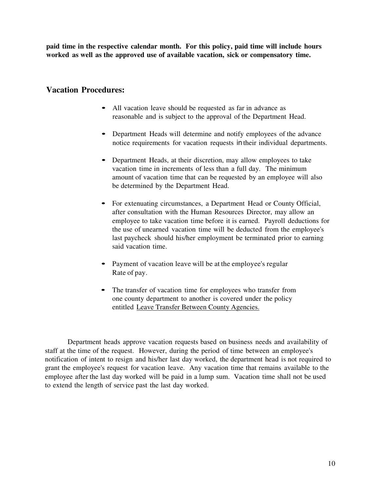**paid time in the respective calendar month. For this policy, paid time will include hours worked as well as the approved use of available vacation, sick or compensatory time.**

#### **Vacation Procedures:**

- All vacation leave should be requested as far in advance as reasonable and is subject to the approval of the Department Head.
- Department Heads will determine and notify employees of the advance notice requirements for vacation requests in their individual departments.
- Department Heads, at their discretion, may allow employees to take vacation time in increments of less than a full day. The minimum amount of vacation time that can be requested by an employee will also be determined by the Department Head.
- For extenuating circumstances, a Department Head or County Official, after consultation with the Human Resources Director, may allow an employee to take vacation time before it is earned. Payroll deductions for the use of unearned vacation time will be deducted from the employee's last paycheck should his/her employment be terminated prior to earning said vacation time.
- Payment of vacation leave will be at the employee's regular Rate of pay.
- The transfer of vacation time for employees who transfer from one county department to another is covered under the policy entitled Leave Transfer Between County Agencies.

Department heads approve vacation requests based on business needs and availability of staff at the time of the request. However, during the period of time between an employee's notification of intent to resign and his/her last day worked, the department head is not required to grant the employee's request for vacation leave. Any vacation time that remains available to the employee after the last day worked will be paid in a lump sum. Vacation time shall not be used to extend the length of service past the last day worked.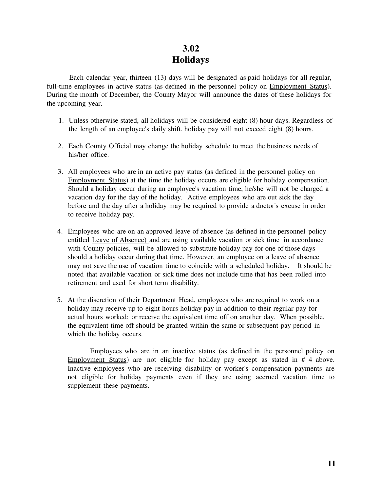# **3.02 Holidays**

Each calendar year, thirteen (13) days will be designated as paid holidays for all regular, full-time employees in active status (as defined in the personnel policy on Employment Status). During the month of December, the County Mayor will announce the dates of these holidays for the upcoming year.

- 1. Unless otherwise stated, all holidays will be considered eight (8) hour days. Regardless of the length of an employee's daily shift, holiday pay will not exceed eight (8) hours.
- 2. Each County Official may change the holiday schedule to meet the business needs of his/her office.
- 3. All employees who are in an active pay status (as defined in the personnel policy on Employment Status) at the time the holiday occurs are eligible for holiday compensation. Should a holiday occur during an employee's vacation time, he/she will not be charged a vacation day for the day of the holiday. Active employees who are out sick the day before and the day after a holiday may be required to provide a doctor's excuse in order to receive holiday pay.
- 4. Employees who are on an approved leave of absence (as defined in the personnel policy entitled Leave of Absence) and are using available vacation or sick time in accordance with County policies, will be allowed to substitute holiday pay for one of those days should a holiday occur during that time. However, an employee on a leave of absence may not save the use of vacation time to coincide with a scheduled holiday. It should be noted that available vacation or sick time does not include time that has been rolled into retirement and used for short term disability.
- 5. At the discretion of their Department Head, employees who are required to work on a holiday may receive up to eight hours holiday pay in addition to their regular pay for actual hours worked; or receive the equivalent time off on another day. When possible, the equivalent time off should be granted within the same or subsequent pay period in which the holiday occurs.

Employees who are in an inactive status (as defined in the personnel policy on Employment Status) are not eligible for holiday pay except as stated in # 4 above. Inactive employees who are receiving disability or worker's compensation payments are not eligible for holiday payments even if they are using accrued vacation time to supplement these payments.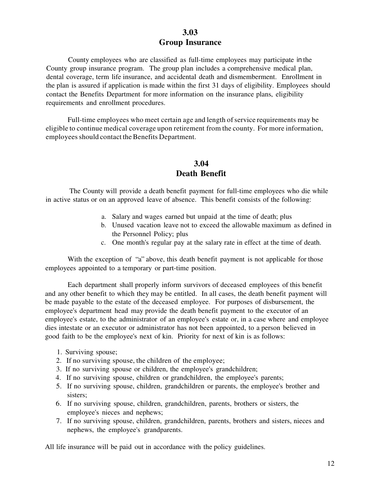#### **3.03 Group Insurance**

County employees who are classified as full-time employees may participate in the County group insurance program. The group plan includes a comprehensive medical plan, dental coverage, term life insurance, and accidental death and dismemberment. Enrollment in the plan is assured if application is made within the first 31 days of eligibility. Employees should contact the Benefits Department for more information on the insurance plans, eligibility requirements and enrollment procedures.

Full-time employees who meet certain age and length of service requirements may be eligible to continue medical coverage upon retirement from the county. For more information, employees should contact the Benefits Department.

# **3.04 Death Benefit**

The County will provide a death benefit payment for full-time employees who die while in active status or on an approved leave of absence. This benefit consists of the following:

- a. Salary and wages earned but unpaid at the time of death; plus
- b. Unused vacation leave not to exceed the allowable maximum as defined in the Personnel Policy; plus
- c. One month's regular pay at the salary rate in effect at the time of death.

With the exception of "a" above, this death benefit payment is not applicable for those employees appointed to a temporary or part-time position.

Each department shall properly inform survivors of deceased employees of this benefit and any other benefit to which they may be entitled. In all cases, the death benefit payment will be made payable to the estate of the deceased employee. For purposes of disbursement, the employee's department head may provide the death benefit payment to the executor of an employee's estate, to the administrator of an employee's estate or, in a case where and employee dies intestate or an executor or administrator has not been appointed, to a person believed in good faith to be the employee's next of kin. Priority for next of kin is as follows:

- 1. Surviving spouse;
- 2. If no surviving spouse, the children of the employee;
- 3. If no surviving spouse or children, the employee's grandchildren;
- 4. If no surviving spouse, children or grandchildren, the employee's parents;
- 5. If no surviving spouse, children, grandchildren or parents, the employee's brother and sisters:
- 6. If no surviving spouse, children, grandchildren, parents, brothers or sisters, the employee's nieces and nephews;
- 7. If no surviving spouse, children, grandchildren, parents, brothers and sisters, nieces and nephews, the employee's grandparents.

All life insurance will be paid out in accordance with the policy guidelines.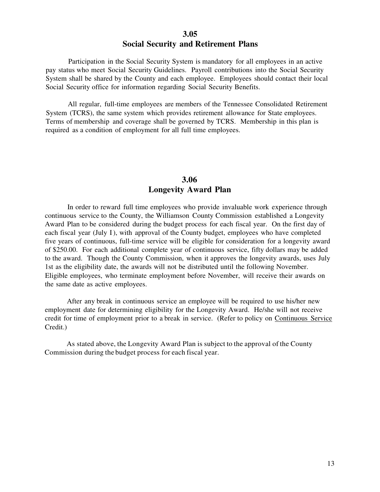#### **3.05 Social Security and Retirement Plans**

Participation in the Social Security System is mandatory for all employees in an active pay status who meet Social Security Guidelines. Payroll contributions into the Social Security System shall be shared by the County and each employee. Employees should contact their local Social Security office for information regarding Social Security Benefits.

All regular, full-time employees are members of the Tennessee Consolidated Retirement System (TCRS), the same system which provides retirement allowance for State employees. Terms of membership and coverage shall be governed by TCRS. Membership in this plan is required as a condition of employment for all full time employees.

#### **3.06 Longevity Award Plan**

In order to reward full time employees who provide invaluable work experience through continuous service to the County, the Williamson County Commission established a Longevity Award Plan to be considered during the budget process for each fiscal year. On the first day of each fiscal year (July I), with approval of the County budget, employees who have completed five years of continuous, full-time service will be eligible for consideration for a longevity award of \$250.00. For each additional complete year of continuous service, fifty dollars may be added to the award. Though the County Commission, when it approves the longevity awards, uses July 1st as the eligibility date, the awards will not be distributed until the following November. Eligible employees, who terminate employment before November, will receive their awards on the same date as active employees.

After any break in continuous service an employee will be required to use his/her new employment date for determining eligibility for the Longevity Award. He/she will not receive credit for time of employment prior to a break in service. (Refer to policy on Continuous Service Credit.)

As stated above, the Longevity Award Plan is subject to the approval of the County Commission during the budget process for each fiscal year.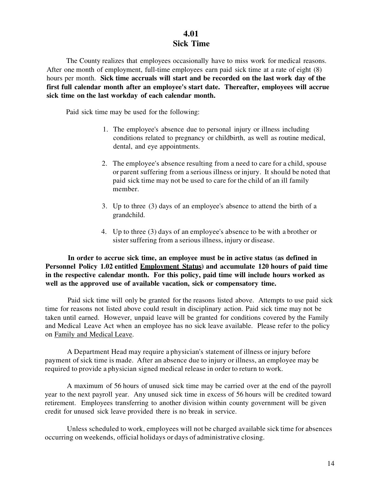#### **4.01 Sick Time**

The County realizes that employees occasionally have to miss work for medical reasons. After one month of employment, full-time employees earn paid sick time at a rate of eight (8) hours per month. **Sick time accruals will start and be recorded on the last work day of the first full calendar month after an employee's start date. Thereafter, employees will accrue sick time on the last workday of each calendar month.**

Paid sick time may be used for the following:

- 1. The employee's absence due to personal injury or illness including conditions related to pregnancy or childbirth, as well as routine medical, dental, and eye appointments.
- 2. The employee's absence resulting from a need to care for a child, spouse or parent suffering from a serious illness or injury. It should be noted that paid sick time may not be used to care for the child of an ill family member.
- 3. Up to three (3) days of an employee's absence to attend the birth of a grandchild.
- 4. Up to three (3) days of an employee's absence to be with a brother or sister suffering from a serious illness, injury or disease.

**In order to accrue sick time, an employee must be in active status (as defined in Personnel Policy 1.02 entitled Employment Status) and accumulate 120 hours of paid time in the respective calendar month. For this policy, paid time will include hours worked as well as the approved use of available vacation, sick or compensatory time.**

Paid sick time will only be granted for the reasons listed above. Attempts to use paid sick time for reasons not listed above could result in disciplinary action. Paid sick time may not be taken until earned. However, unpaid leave will be granted for conditions covered by the Family and Medical Leave Act when an employee has no sick leave available. Please refer to the policy on Family and Medical Leave.

A Department Head may require a physician's statement of illness or injury before payment of sick time is made. After an absence due to injury or illness, an employee may be required to provide a physician signed medical release in order to return to work.

A maximum of 56 hours of unused sick time may be carried over at the end of the payroll year to the next payroll year. Any unused sick time in excess of 56 hours will be credited toward retirement. Employees transferring to another division within county government will be given credit for unused sick leave provided there is no break in service.

Unless scheduled to work, employees will not be charged available sick time for absences occurring on weekends, official holidays or days of administrative closing.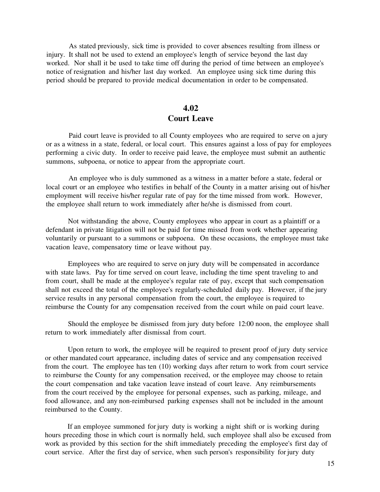As stated previously, sick time is provided to cover absences resulting from illness or injury. It shall not be used to extend an employee's length of service beyond the last day worked. Nor shall it be used to take time off during the period of time between an employee's notice of resignation and his/her last day worked. An employee using sick time during this period should be prepared to provide medical documentation in order to be compensated.

#### **4.02 Court Leave**

Paid court leave is provided to all County employees who are required to serve on a jury or as a witness in a state, federal, or local court. This ensures against a loss of pay for employees performing a civic duty. In order to receive paid leave, the employee must submit an authentic summons, subpoena, or notice to appear from the appropriate court.

An employee who is duly summoned as a witness in a matter before a state, federal or local court or an employee who testifies in behalf of the County in a matter arising out of his/her employment will receive his/her regular rate of pay for the time missed from work. However, the employee shall return to work immediately after he/she is dismissed from court.

Not withstanding the above, County employees who appear in court as a plaintiff or a defendant in private litigation will not be paid for time missed from work whether appearing voluntarily or pursuant to a summons or subpoena. On these occasions, the employee must take vacation leave, compensatory time or leave without pay.

Employees who are required to serve on jury duty will be compensated in accordance with state laws. Pay for time served on court leave, including the time spent traveling to and from court, shall be made at the employee's regular rate of pay, except that such compensation shall not exceed the total of the employee's regularly-scheduled daily pay. However, if the jury service results in any personal compensation from the court, the employee is required to reimburse the County for any compensation received from the court while on paid court leave.

Should the employee be dismissed from jury duty before 12:00 noon, the employee shall return to work immediately after dismissal from court.

Upon return to work, the employee will be required to present proof of jury duty service or other mandated court appearance, including dates of service and any compensation received from the court. The employee has ten (10) working days after return to work from court service to reimburse the County for any compensation received, or the employee may choose to retain the court compensation and take vacation leave instead of court leave. Any reimbursements from the court received by the employee for personal expenses, such as parking, mileage, and food allowance, and any non-reimbursed parking expenses shall not be included in the amount reimbursed to the County.

If an employee summoned for jury duty is working a night shift or is working during hours preceding those in which court is normally held, such employee shall also be excused from work as provided by this section for the shift immediately preceding the employee's first day of court service. After the first day of service, when such person's responsibility for jury duty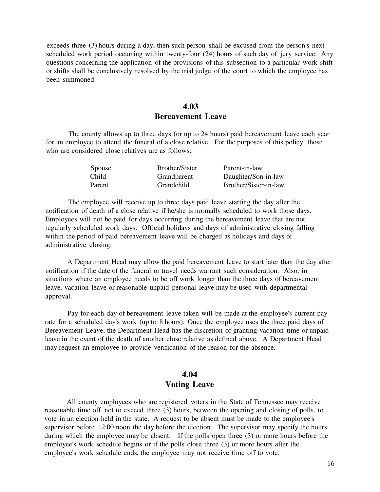exceeds three (3) hours during a day, then such person shall be excused from the person's next scheduled work period occurring within twenty-four (24) hours of such day of jury service. Any questions concerning the application of the provisions of this subsection to a particular work shift or shifts shall be conclusively resolved by the trial judge of the court to which the employee has been summoned.

#### **4.03 Bereavement Leave**

The county allows up to three days (or up to 24 hours) paid bereavement leave each year for an employee to attend the funeral of a close relative. For the purposes of this policy, those who are considered close relatives are as follows:

| Spouse | Brother/Sister | Parent-in-law         |
|--------|----------------|-----------------------|
| Child  | Grandparent    | Daughter/Son-in-law   |
| Parent | Grandchild     | Brother/Sister-in-law |

The employee will receive up to three days paid leave starting the day after the notification of death of a close relative if he/she is normally scheduled to work those days. Employees will not be paid for days occurring during the bereavement leave that are not regularly scheduled work days. Official holidays and days of administrative closing falling within the period of paid bereavement leave will be charged as holidays and days of administrative closing.

A Department Head may allow the paid bereavement leave to start later than the day after notification if the date of the funeral or travel needs warrant such consideration. Also, in situations where an employee needs to be off work longer than the three days of bereavement leave, vacation leave or reasonable unpaid personal leave may be used with departmental approval.

Pay for each day of bereavement leave taken will be made at the employee's current pay rate for a scheduled day's work (up to 8 hours). Once the employee uses the three paid days of Bereavement Leave, the Department Head has the discretion of granting vacation time or unpaid leave in the event of the death of another close relative as defined above. A Department Head may request an employee to provide verification of the reason for the absence.

#### **4.04 Voting Leave**

All county employees who are registered voters in the State of Tennessee may receive reasonable time off, not to exceed three (3) hours, between the opening and closing of polls, to vote in an election held in the state. A request to be absent must be made to the employee's supervisor before 12:00 noon the day before the election. The supervisor may specify the hours during which the employee may be absent. If the polls open three (3) or more hours before the employee's work schedule begins or if the polls close three (3) or more hours after the employee's work schedule ends, the employee may not receive time off to vote.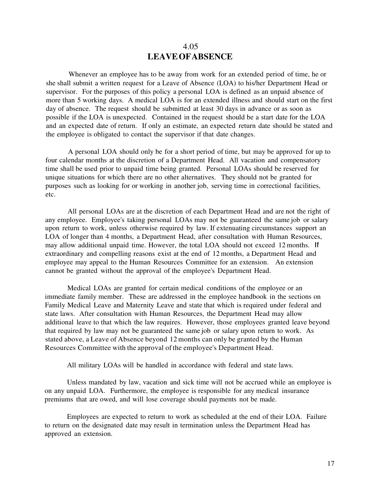#### 4.05 **LEAVE OF ABSENCE**

Whenever an employee has to be away from work for an extended period of time, he or she shall submit a written request for a Leave of Absence (LOA) to his/her Department Head or supervisor. For the purposes of this policy a personal LOA is defined as an unpaid absence of more than 5 working days. A medical LOA is for an extended illness and should start on the first day of absence. The request should be submitted at least 30 days in advance or as soon as possible if the LOA is unexpected. Contained in the request should be a start date for the LOA and an expected date of return. If only an estimate, an expected return date should be stated and the employee is obligated to contact the supervisor if that date changes.

A personal LOA should only be for a short period of time, but may be approved for up to four calendar months at the discretion of a Department Head. All vacation and compensatory time shall be used prior to unpaid time being granted. Personal LOAs should be reserved for unique situations for which there are no other alternatives. They should not be granted for purposes such as looking for or working in another job, serving time in correctional facilities, etc.

All personal LOAs are at the discretion of each Department Head and are not the right of any employee. Employee's taking personal LOAs may not be guaranteed the same job or salary upon return to work, unless otherwise required by law. If extenuating circumstances support an LOA of longer than 4 months, a Department Head, after consultation with Human Resources, may allow additional unpaid time. However, the total LOA should not exceed 12 months. If extraordinary and compelling reasons exist at the end of 12 months, a Department Head and employee may appeal to the Human Resources Committee for an extension. An extension cannot be granted without the approval of the employee's Department Head.

Medical LOAs are granted for certain medical conditions of the employee or an immediate family member. These are addressed in the employee handbook in the sections on Family Medical Leave and Maternity Leave and state that which is required under federal and state laws. After consultation with Human Resources, the Department Head may allow additional leave to that which the law requires. However, those employees granted leave beyond that required by law may not be guaranteed the same job or salary upon return to work. As stated above, a Leave of Absence beyond 12 months can only be granted by the Human Resources Committee with the approval of the employee's Department Head.

All military LOAs will be handled in accordance with federal and state laws.

Unless mandated by law, vacation and sick time will not be accrued while an employee is on any unpaid LOA. Furthermore, the employee is responsible for any medical insurance premiums that are owed, and will lose coverage should payments not be made.

Employees are expected to return to work as scheduled at the end of their LOA. Failure to return on the designated date may result in termination unless the Department Head has approved an extension.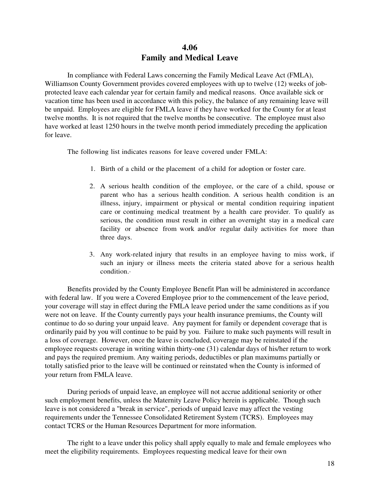#### **4.06 Family and Medical Leave**

In compliance with Federal Laws concerning the Family Medical Leave Act (FMLA), Williamson County Government provides covered employees with up to twelve (12) weeks of jobprotected leave each calendar year for certain family and medical reasons. Once available sick or vacation time has been used in accordance with this policy, the balance of any remaining leave will be unpaid. Employees are eligible for FMLA leave if they have worked for the County for at least twelve months. It is not required that the twelve months be consecutive. The employee must also have worked at least 1250 hours in the twelve month period immediately preceding the application for leave.

The following list indicates reasons for leave covered under FMLA:

- 1. Birth of a child or the placement of a child for adoption or foster care.
- 2. A serious health condition of the employee, or the care of a child, spouse or parent who has a serious health condition. A serious health condition is an illness, injury, impairment or physical or mental condition requiring inpatient care or continuing medical treatment by a health care provider. To qualify as serious, the condition must result in either an overnight stay in a medical care facility or absence from work and/or regular daily activities for more than three days.
- 3. Any work-related injury that results in an employee having to miss work, if such an injury or illness meets the criteria stated above for a serious health condition.·

Benefits provided by the County Employee Benefit Plan will be administered in accordance with federal law. If you were a Covered Employee prior to the commencement of the leave period, your coverage will stay in effect during the FMLA leave period under the same conditions as if you were not on leave. If the County currently pays your health insurance premiums, the County will continue to do so during your unpaid leave. Any payment for family or dependent coverage that is ordinarily paid by you will continue to be paid by you. Failure to make such payments will result in a loss of coverage. However, once the leave is concluded, coverage may be reinstated if the employee requests coverage in writing within thirty-one (31) calendar days of his/her return to work and pays the required premium. Any waiting periods, deductibles or plan maximums partially or totally satisfied prior to the leave will be continued or reinstated when the County is informed of your return from FMLA leave.

During periods of unpaid leave, an employee will not accrue additional seniority or other such employment benefits, unless the Maternity Leave Policy herein is applicable. Though such leave is not considered a "break in service", periods of unpaid leave may affect the vesting requirements under the Tennessee Consolidated Retirement System (TCRS). Employees may contact TCRS or the Human Resources Department for more information.

The right to a leave under this policy shall apply equally to male and female employees who meet the eligibility requirements. Employees requesting medical leave for their own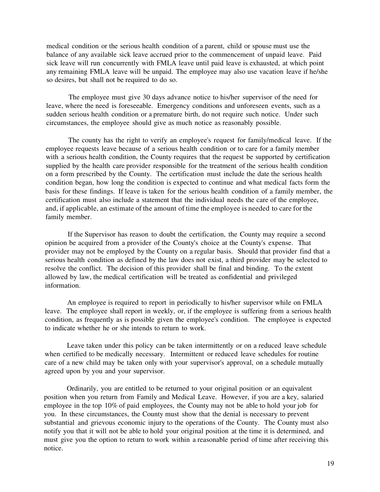medical condition or the serious health condition of a parent, child or spouse must use the balance of any available sick leave accrued prior to the commencement of unpaid leave. Paid sick leave will run concurrently with FMLA leave until paid leave is exhausted, at which point any remaining FMLA leave will be unpaid. The employee may also use vacation leave if he/she so desires, but shall not be required to do so.

The employee must give 30 days advance notice to his/her supervisor of the need for leave, where the need is foreseeable. Emergency conditions and unforeseen events, such as a sudden serious health condition or a premature birth, do not require such notice. Under such circumstances, the employee should give as much notice as reasonably possible.

The county has the right to verify an employee's request for family/medical leave. If the employee requests leave because of a serious health condition or to care for a family member with a serious health condition, the County requires that the request be supported by certification supplied by the health care provider responsible for the treatment of the serious health condition on a form prescribed by the County. The certification must include the date the serious health condition began, how long the condition is expected to continue and what medical facts form the basis for these findings. If leave is taken for the serious health condition of a family member, the certification must also include a statement that the individual needs the care of the employee, and, if applicable, an estimate of the amount of time the employee is needed to care for the family member.

If the Supervisor has reason to doubt the certification, the County may require a second opinion be acquired from a provider of the County's choice at the County's expense. That provider may not be employed by the County on a regular basis. Should that provider find that a serious health condition as defined by the law does not exist, a third provider may be selected to resolve the conflict. The decision of this provider shall be final and binding. To the extent allowed by law, the medical certification will be treated as confidential and privileged information.

An employee is required to report in periodically to his/her supervisor while on FMLA leave. The employee shall report in weekly, or, if the employee is suffering from a serious health condition, as frequently as is possible given the employee's condition. The employee is expected to indicate whether he or she intends to return to work.

Leave taken under this policy can be taken intermittently or on a reduced leave schedule when certified to be medically necessary. Intermittent or reduced leave schedules for routine care of a new child may be taken only with your supervisor's approval, on a schedule mutually agreed upon by you and your supervisor.

Ordinarily, you are entitled to be returned to your original position or an equivalent position when you return from Family and Medical Leave. However, if you are a key, salaried employee in the top 10% of paid employees, the County may not be able to hold your job for you. In these circumstances, the County must show that the denial is necessary to prevent substantial and grievous economic injury to the operations of the County. The County must also notify you that it will not be able to hold your original position at the time it is determined, and must give you the option to return to work within a reasonable period of time after receiving this notice.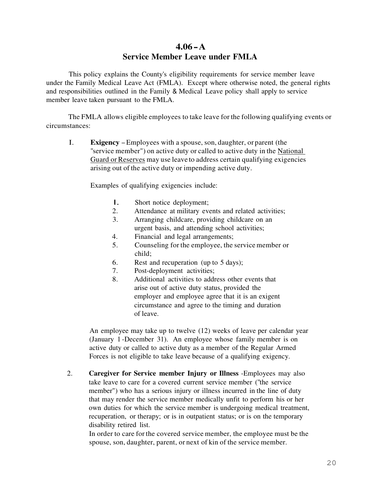# **4.06 - A Service Member Leave under FMLA**

This policy explains the County's eligibility requirements for service member leave under the Family Medical Leave Act (FMLA). Except where otherwise noted, the general rights and responsibilities outlined in the Family & Medical Leave policy shall apply to service member leave taken pursuant to the FMLA.

The FMLA allows eligible employees to take leave for the following qualifying events or circumstances:

I. **Exigency** - Employees with a spouse, son, daughter, or parent (the "service member") on active duty or called to active duty in the National Guard or Reserves may use leave to address certain qualifying exigencies arising out of the active duty or impending active duty.

Examples of qualifying exigencies include:

- I. Short notice deployment;
- 2. Attendance at military events and related activities;
- 3. Arranging childcare, providing childcare on an urgent basis, and attending school activities;
- 4. Financial and legal arrangements;
- 5. Counseling for the employee, the service member or child;
- 6. Rest and recuperation (up to 5 days);
- 7. Post-deployment activities;
- 8. Additional activities to address other events that arise out of active duty status, provided the employer and employee agree that it is an exigent circumstance and agree to the timing and duration of leave.

An employee may take up to twelve (12) weeks of leave per calendar year (January 1 -December 31). An employee whose family member is on active duty or called to active duty as a member of the Regular Armed Forces is not eligible to take leave because of a qualifying exigency.

2. **Caregiver for Service member Injury or Illness** -Employees may also take leave to care for a covered current service member ("the service member") who has a serious injury or illness incurred in the line of duty that may render the service member medically unfit to perform his or her own duties for which the service member is undergoing medical treatment, recuperation, or therapy; or is in outpatient status; or is on the temporary disability retired list.

In order to care for the covered service member, the employee must be the spouse, son, daughter, parent, or next of kin of the service member.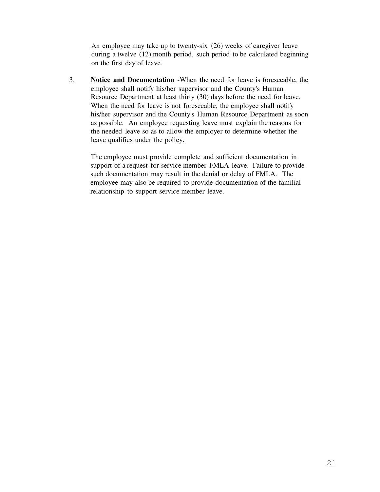An employee may take up to twenty-six (26) weeks of caregiver leave during a twelve (12) month period, such period to be calculated beginning on the first day of leave.

3. **Notice and Documentation** -When the need for leave is foreseeable, the employee shall notify his/her supervisor and the County's Human Resource Department at least thirty (30) days before the need for leave. When the need for leave is not foreseeable, the employee shall notify his/her supervisor and the County's Human Resource Department as soon as possible. An employee requesting leave must explain the reasons for the needed leave so as to allow the employer to determine whether the leave qualifies under the policy.

The employee must provide complete and sufficient documentation in support of a request for service member FMLA leave. Failure to provide such documentation may result in the denial or delay of FMLA. The employee may also be required to provide documentation of the familial relationship to support service member leave.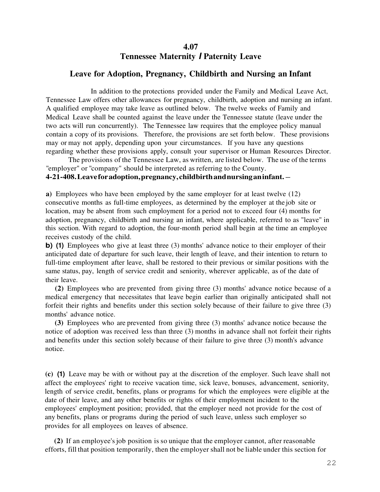#### **4.07 Tennessee Maternity I Paternity Leave**

#### **Leave for Adoption, Pregnancy, Childbirth and Nursing an Infant**

In addition to the protections provided under the Family and Medical Leave Act, Tennessee Law offers other allowances for pregnancy, childbirth, adoption and nursing an infant. A qualified employee may take leave as outlined below. The twelve weeks of Family and Medical Leave shall be counted against the leave under the Tennessee statute (leave under the two acts will run concurrently). The Tennessee law requires that the employee policy manual contain a copy of its provisions. Therefore, the provisions are set forth below. These provisions may or may not apply, depending upon your circumstances. If you have any questions regarding whether these provisions apply, consult your supervisor or Human Resources Director.

The provisions of the Tennessee Law, as written, are listed below. The use of the terms "employer" or "company" should be interpreted as referring to the County.

#### **4-21-408. Leave for adoption, pregnancy, childbirth and nursing an infant.** -

**a)** Employees who have been employed by the same employer for at least twelve (12) consecutive months as full-time employees, as determined by the employer at the job site or location, may be absent from such employment for a period not to exceed four (4) months for adoption, pregnancy, childbirth and nursing an infant, where applicable, referred to as "leave" in this section. With regard to adoption, the four-month period shall begin at the time an employee receives custody of the child.

**b)** (1) Employees who give at least three (3) months' advance notice to their employer of their anticipated date of departure for such leave, their length of leave, and their intention to return to full-time employment after leave, shall be restored to their previous or similar positions with the same status, pay, length of service credit and seniority, wherever applicable, as of the date of their leave.

**(2)** Employees who are prevented from giving three (3) months' advance notice because of a medical emergency that necessitates that leave begin earlier than originally anticipated shall not forfeit their rights and benefits under this section solely because of their failure to give three (3) months' advance notice.

**(3)** Employees who are prevented from giving three (3) months' advance notice because the notice of adoption was received less than three (3) months in advance shall not forfeit their rights and benefits under this section solely because of their failure to give three (3) month's advance notice.

**(c) (1)** Leave may be with or without pay at the discretion of the employer. Such leave shall not affect the employees' right to receive vacation time, sick leave, bonuses, advancement, seniority, length of service credit, benefits, plans or programs for which the employees were eligible at the date of their leave, and any other benefits or rights of their employment incident to the employees' employment position; provided, that the employer need not provide for the cost of any benefits, plans or programs during the period of such leave, unless such employer so provides for all employees on leaves of absence.

**(2)** If an employee's job position is so unique that the employer cannot, after reasonable efforts, fill that position temporarily, then the employer shall not be liable under this section for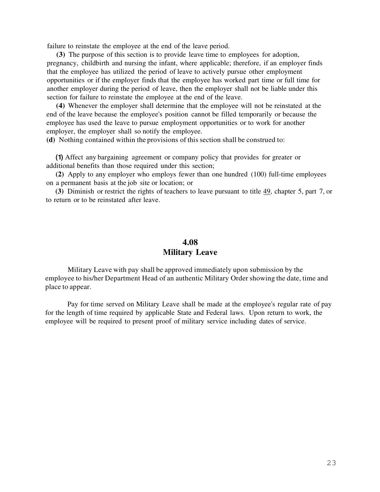failure to reinstate the employee at the end of the leave period.

**(3)** The purpose of this section is to provide leave time to employees for adoption, pregnancy, childbirth and nursing the infant, where applicable; therefore, if an employer finds that the employee has utilized the period of leave to actively pursue other employment opportunities or if the employer finds that the employee has worked part time or full time for another employer during the period of leave, then the employer shall not be liable under this section for failure to reinstate the employee at the end of the leave.

**(4)** Whenever the employer shall determine that the employee will not be reinstated at the end of the leave because the employee's position cannot be filled temporarily or because the employee has used the leave to pursue employment opportunities or to work for another employer, the employer shall so notify the employee.

**(d)** Nothing contained within the provisions of this section shall be construed to:

**(1)** Affect any bargaining agreement or company policy that provides for greater or additional benefits than those required under this section;

**(2)** Apply to any employer who employs fewer than one hundred (100) full-time employees on a permanent basis at the job site or location; or

**(3)** Diminish or restrict the rights of teachers to leave pursuant to title 49, chapter 5, part 7, or to return or to be reinstated after leave.

# **4.08 Military Leave**

Military Leave with pay shall be approved immediately upon submission by the employee to his/her Department Head of an authentic Military Order showing the date, time and place to appear.

Pay for time served on Military Leave shall be made at the employee's regular rate of pay for the length of time required by applicable State and Federal laws. Upon return to work, the employee will be required to present proof of military service including dates of service.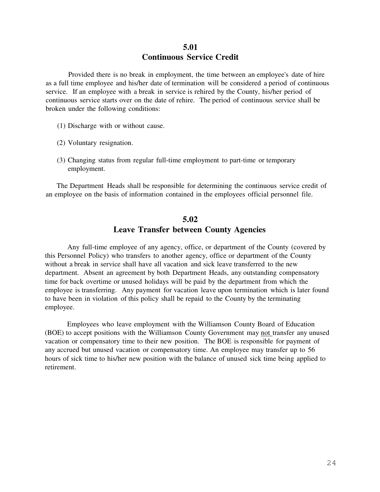#### **5.01 Continuous Service Credit**

Provided there is no break in employment, the time between an employee's date of hire as a full time employee and his/her date of termination will be considered a period of continuous service. If an employee with a break in service is rehired by the County, his/her period of continuous service starts over on the date of rehire. The period of continuous service shall be broken under the following conditions:

- (1) Discharge with or without cause.
- (2) Voluntary resignation.
- (3) Changing status from regular full-time employment to part-time or temporary employment.

The Department Heads shall be responsible for determining the continuous service credit of an employee on the basis of information contained in the employees official personnel file.

### **5.02 Leave Transfer between County Agencies**

Any full-time employee of any agency, office, or department of the County (covered by this Personnel Policy) who transfers to another agency, office or department of the County without a break in service shall have all vacation and sick leave transferred to the new department. Absent an agreement by both Department Heads, any outstanding compensatory time for back overtime or unused holidays will be paid by the department from which the employee is transferring. Any payment for vacation leave upon termination which is later found to have been in violation of this policy shall be repaid to the County by the terminating employee.

Employees who leave employment with the Williamson County Board of Education (BOE) to accept positions with the Williamson County Government may not transfer any unused vacation or compensatory time to their new position. The BOE is responsible for payment of any accrued but unused vacation or compensatory time. An employee may transfer up to 56 hours of sick time to his/her new position with the balance of unused sick time being applied to retirement.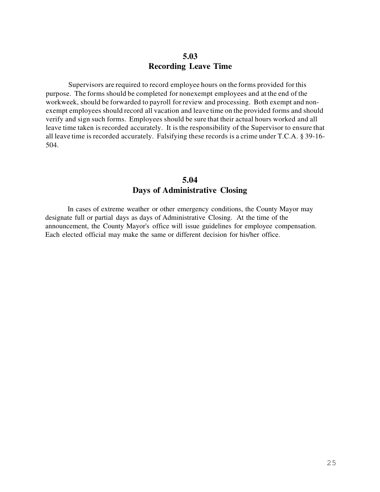#### **5.03 Recording Leave Time**

Supervisors are required to record employee hours on the forms provided for this purpose. The forms should be completed for nonexempt employees and at the end of the workweek, should be forwarded to payroll for review and processing. Both exempt and nonexempt employees should record all vacation and leave time on the provided forms and should verify and sign such forms. Employees should be sure that their actual hours worked and all leave time taken is recorded accurately. It is the responsibility of the Supervisor to ensure that all leave time is recorded accurately. Falsifying these records is a crime under T.C.A. § 39-16- 504.

#### **5.04 Days of Administrative Closing**

In cases of extreme weather or other emergency conditions, the County Mayor may designate full or partial days as days of Administrative Closing. At the time of the announcement, the County Mayor's office will issue guidelines for employee compensation. Each elected official may make the same or different decision for his/her office.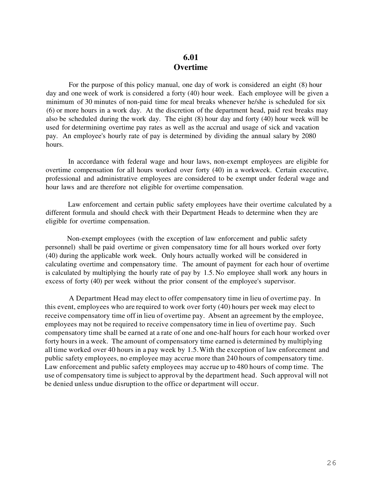#### **6.01 Overtime**

For the purpose of this policy manual, one day of work is considered an eight (8) hour day and one week of work is considered a forty (40) hour week. Each employee will be given a minimum of 30 minutes of non-paid time for meal breaks whenever he/she is scheduled for six (6) or more hours in a work day. At the discretion of the department head, paid rest breaks may also be scheduled during the work day. The eight (8) hour day and forty (40) hour week will be used for determining overtime pay rates as well as the accrual and usage of sick and vacation pay. An employee's hourly rate of pay is determined by dividing the annual salary by 2080 hours.

In accordance with federal wage and hour laws, non-exempt employees are eligible for overtime compensation for all hours worked over forty (40) in a workweek. Certain executive, professional and administrative employees are considered to be exempt under federal wage and hour laws and are therefore not eligible for overtime compensation.

Law enforcement and certain public safety employees have their overtime calculated by a different formula and should check with their Department Heads to determine when they are eligible for overtime compensation.

Non-exempt employees (with the exception of law enforcement and public safety personnel) shall be paid overtime or given compensatory time for all hours worked over forty (40) during the applicable work week. Only hours actually worked will be considered in calculating overtime and compensatory time. The amount of payment for each hour of overtime is calculated by multiplying the hourly rate of pay by 1.5. No employee shall work any hours in excess of forty (40) per week without the prior consent of the employee's supervisor.

A Department Head may elect to offer compensatory time in lieu of overtime pay. In this event, employees who are required to work over forty (40) hours per week may elect to receive compensatory time off in lieu of overtime pay. Absent an agreement by the employee, employees may not be required to receive compensatory time in lieu of overtime pay. Such compensatory time shall be earned at a rate of one and one-half hours for each hour worked over forty hours in a week. The amount of compensatory time earned is determined by multiplying all time worked over 40 hours in a pay week by 1.5. With the exception of law enforcement and public safety employees, no employee may accrue more than 240 hours of compensatory time. Law enforcement and public safety employees may accrue up to 480 hours of comp time. The use of compensatory time is subject to approval by the department head. Such approval will not be denied unless undue disruption to the office or department will occur.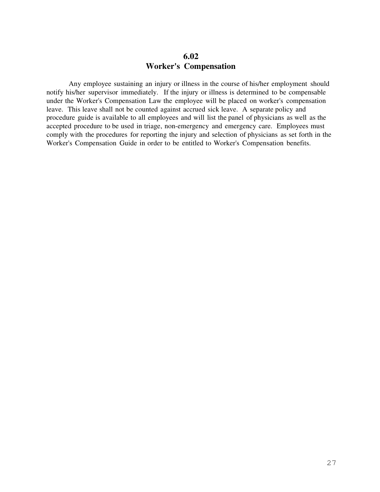#### **6.02 Worker's Compensation**

Any employee sustaining an injury or illness in the course of his/her employment should notify his/her supervisor immediately. If the injury or illness is determined to be compensable under the Worker's Compensation Law the employee will be placed on worker's compensation leave. This leave shall not be counted against accrued sick leave. A separate policy and procedure guide is available to all employees and will list the panel of physicians as well as the accepted procedure to be used in triage, non-emergency and emergency care. Employees must comply with the procedures for reporting the injury and selection of physicians as set forth in the Worker's Compensation Guide in order to be entitled to Worker's Compensation benefits.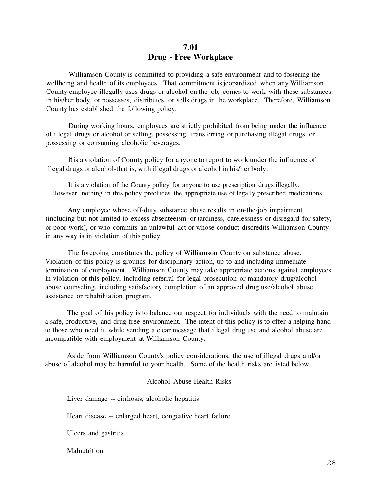#### **7.01 Drug - Free Workplace**

Williamson County is committed to providing a safe environment and to fostering the wellbeing and health of its employees. That commitment is jeopardized when any Williamson County employee illegally uses drugs or alcohol on the job, comes to work with these substances in his/her body, or possesses, distributes, or sells drugs in the workplace. Therefore, Williamson County has established the following policy:

During working hours, employees are strictly prohibited from being under the influence of illegal drugs or alcohol or selling, possessing, transferring or purchasing illegal drugs, or possessing or consuming alcoholic beverages.

It is a violation of County policy for anyone to report to work under the influence of illegal drugs or alcohol-that is, with illegal drugs or alcohol in his/her body.

It is a violation of the County policy for anyone to use prescription drugs illegally. However, nothing in this policy precludes the appropriate use of legally prescribed medications.

Any employee whose off-duty substance abuse results in on-the-job impairment (including but not limited to excess absenteeism or tardiness, carelessness or disregard for safety, or poor work), or who commits an unlawful act or whose conduct discredits Williamson County in any way is in violation of this policy.

The foregoing constitutes the policy of Williamson County on substance abuse. Violation of this policy is grounds for disciplinary action, up to and including immediate termination of employment. Williamson County may take appropriate actions against employees in violation of this policy, including referral for legal prosecution or mandatory drug/alcohol abuse counseling, including satisfactory completion of an approved drug use/alcohol abuse assistance or rehabilitation program.

The goal of this policy is to balance our respect for individuals with the need to maintain a safe, productive, and drug-free environment. The intent of this policy is to offer a helping hand to those who need it, while sending a clear message that illegal drug use and alcohol abuse are incompatible with employment at Williamson County.

Aside from Williamson County's policy considerations, the use of illegal drugs and/or abuse of alcohol may be harmful to your health. Some of the health risks are listed below

#### Alcohol Abuse Health Risks

Liver damage -- cirrhosis, alcoholic hepatitis

Heart disease -- enlarged heart, congestive heart failure

Ulcers and gastritis

**Malnutrition**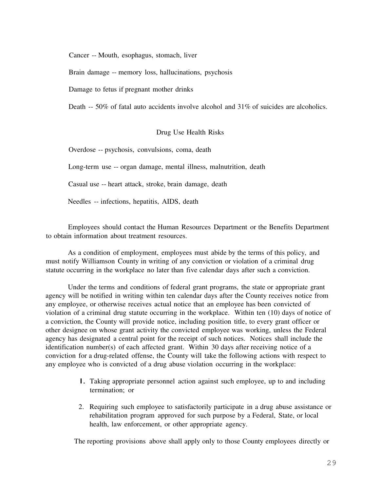Cancer -- Mouth, esophagus, stomach, liver

Brain damage -- memory loss, hallucinations, psychosis

Damage to fetus if pregnant mother drinks

Death -- 50% of fatal auto accidents involve alcohol and 31% of suicides are alcoholics.

#### Drug Use Health Risks

Overdose -- psychosis, convulsions, coma, death

Long-term use -- organ damage, mental illness, malnutrition, death

Casual use -- heart attack, stroke, brain damage, death

Needles -- infections, hepatitis, AIDS, death

Employees should contact the Human Resources Department or the Benefits Department to obtain information about treatment resources.

As a condition of employment, employees must abide by the terms of this policy, and must notify Williamson County in writing of any conviction or violation of a criminal drug statute occurring in the workplace no later than five calendar days after such a conviction.

Under the terms and conditions of federal grant programs, the state or appropriate grant agency will be notified in writing within ten calendar days after the County receives notice from any employee, or otherwise receives actual notice that an employee has been convicted of violation of a criminal drug statute occurring in the workplace. Within ten (10) days of notice of a conviction, the County will provide notice, including position title, to every grant officer or other designee on whose grant activity the convicted employee was working, unless the Federal agency has designated a central point for the receipt of such notices. Notices shall include the identification number(s) of each affected grant. Within 30 days after receiving notice of a conviction for a drug-related offense, the County will take the following actions with respect to any employee who is convicted of a drug abuse violation occurring in the workplace:

- I. Taking appropriate personnel action against such employee, up to and including termination; or
- 2. Requiring such employee to satisfactorily participate in a drug abuse assistance or rehabilitation program approved for such purpose by a Federal, State, or local health, law enforcement, or other appropriate agency.

The reporting provisions above shall apply only to those County employees directly or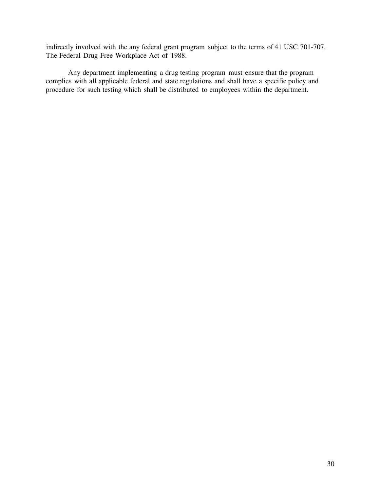indirectly involved with the any federal grant program subject to the terms of 41 USC 701-707, The Federal Drug Free Workplace Act of 1988.

Any department implementing a drug testing program must ensure that the program complies with all applicable federal and state regulations and shall have a specific policy and procedure for such testing which shall be distributed to employees within the department.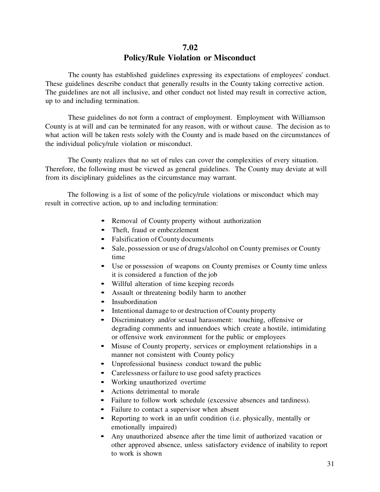#### **7.02 Policy/Rule Violation or Misconduct**

The county has established guidelines expressing its expectations of employees' conduct. These guidelines describe conduct that generally results in the County taking corrective action. The guidelines are not all inclusive, and other conduct not listed may result in corrective action, up to and including termination.

These guidelines do not form a contract of employment. Employment with Williamson County is at will and can be terminated for any reason, with or without cause. The decision as to what action will be taken rests solely with the County and is made based on the circumstances of the individual policy/rule violation or misconduct.

The County realizes that no set of rules can cover the complexities of every situation. Therefore, the following must be viewed as general guidelines. The County may deviate at will from its disciplinary guidelines as the circumstance may warrant.

The following is a list of some of the policy/rule violations or misconduct which may result in corrective action, up to and including termination:

- Removal of County property without authorization
- Theft, fraud or embezzlement
- Falsification of County documents
- Sale, possession or use of drugs/alcohol on County premises or County time
- Use or possession of weapons on County premises or County time unless it is considered a function of the job
- Willful alteration of time keeping records
- Assault or threatening bodily harm to another
- Insubordination
- Intentional damage to or destruction of County property
- Discriminatory and/or sexual harassment: touching, offensive or degrading comments and innuendoes which create a hostile, intimidating or offensive work environment for the public or employees
- Misuse of County property, services or employment relationships in a manner not consistent with County policy
- Unprofessional business conduct toward the public
- Carelessness or failure to use good safety practices
- Working unauthorized overtime
- Actions detrimental to morale
- Failure to follow work schedule (excessive absences and tardiness).
- Failure to contact a supervisor when absent
- Reporting to work in an unfit condition (i.e. physically, mentally or emotionally impaired)
- Any unauthorized absence after the time limit of authorized vacation or other approved absence, unless satisfactory evidence of inability to report to work is shown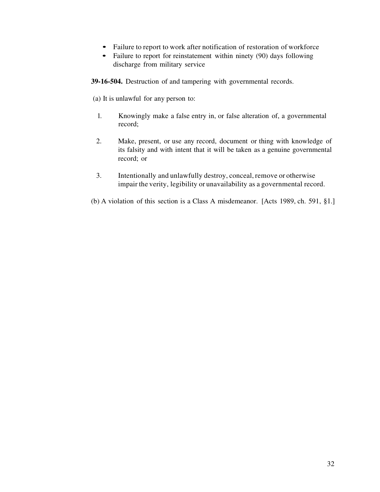- Failure to report to work after notification of restoration of workforce
- Failure to report for reinstatement within ninety (90) days following discharge from military service

**39-16-504.** Destruction of and tampering with governmental records.

(a) It is unlawful for any person to:

- 1. Knowingly make a false entry in, or false alteration of, a governmental record;
- 2. Make, present, or use any record, document or thing with knowledge of its falsity and with intent that it will be taken as a genuine governmental record; or
- 3. Intentionally and unlawfully destroy, conceal, remove or otherwise impair the verity, legibility or unavailability as a governmental record.
- (b) A violation of this section is a Class A misdemeanor. [Acts 1989, ch. 591, §1.]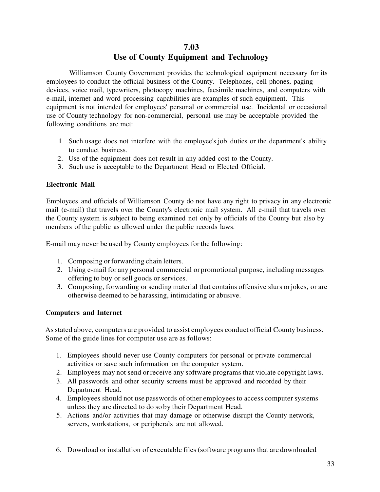#### **7.03 Use of County Equipment and Technology**

Williamson County Government provides the technological equipment necessary for its employees to conduct the official business of the County. Telephones, cell phones, paging devices, voice mail, typewriters, photocopy machines, facsimile machines, and computers with e-mail, internet and word processing capabilities are examples of such equipment. This equipment is not intended for employees' personal or commercial use. Incidental or occasional use of County technology for non-commercial, personal use may be acceptable provided the following conditions are met:

- 1. Such usage does not interfere with the employee's job duties or the department's ability to conduct business.
- 2. Use of the equipment does not result in any added cost to the County.
- 3. Such use is acceptable to the Department Head or Elected Official.

#### **Electronic Mail**

Employees and officials of Williamson County do not have any right to privacy in any electronic mail (e-mail) that travels over the County's electronic mail system. All e-mail that travels over the County system is subject to being examined not only by officials of the County but also by members of the public as allowed under the public records laws.

E-mail may never be used by County employees for the following:

- 1. Composing or forwarding chain letters.
- 2. Using e-mail for any personal commercial or promotional purpose, including messages offering to buy or sell goods or services.
- 3. Composing, forwarding or sending material that contains offensive slurs or jokes, or are otherwise deemed to be harassing, intimidating or abusive.

#### **Computers and Internet**

As stated above, computers are provided to assist employees conduct official County business. Some of the guide lines for computer use are as follows:

- 1. Employees should never use County computers for personal or private commercial activities or save such information on the computer system.
- 2. Employees may not send or receive any software programs that violate copyright laws.
- 3. All passwords and other security screens must be approved and recorded by their Department Head.
- 4. Employees should not use passwords of other employees to access computer systems unless they are directed to do so by their Department Head.
- 5. Actions and/or activities that may damage or otherwise disrupt the County network, servers, workstations, or peripherals are not allowed.
- 6. Download or installation of executable files (software programs that are downloaded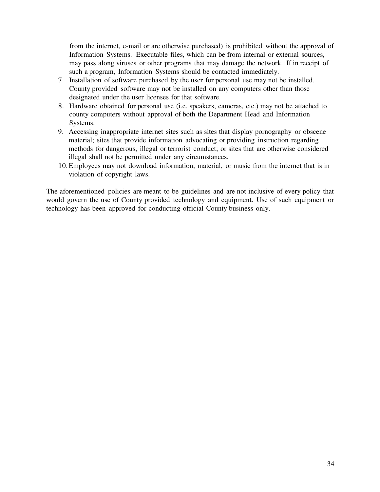from the internet, e-mail or are otherwise purchased) is prohibited without the approval of Information Systems. Executable files, which can be from internal or external sources, may pass along viruses or other programs that may damage the network. If in receipt of such a program, Information Systems should be contacted immediately.

- 7. Installation of software purchased by the user for personal use may not be installed. County provided software may not be installed on any computers other than those designated under the user licenses for that software.
- 8. Hardware obtained for personal use (i.e. speakers, cameras, etc.) may not be attached to county computers without approval of both the Department Head and Information Systems.
- 9. Accessing inappropriate internet sites such as sites that display pornography or obscene material; sites that provide information advocating or providing instruction regarding methods for dangerous, illegal or terrorist conduct; or sites that are otherwise considered illegal shall not be permitted under any circumstances.
- 10.Employees may not download information, material, or music from the internet that is in violation of copyright laws.

The aforementioned policies are meant to be guidelines and are not inclusive of every policy that would govern the use of County provided technology and equipment. Use of such equipment or technology has been approved for conducting official County business only.